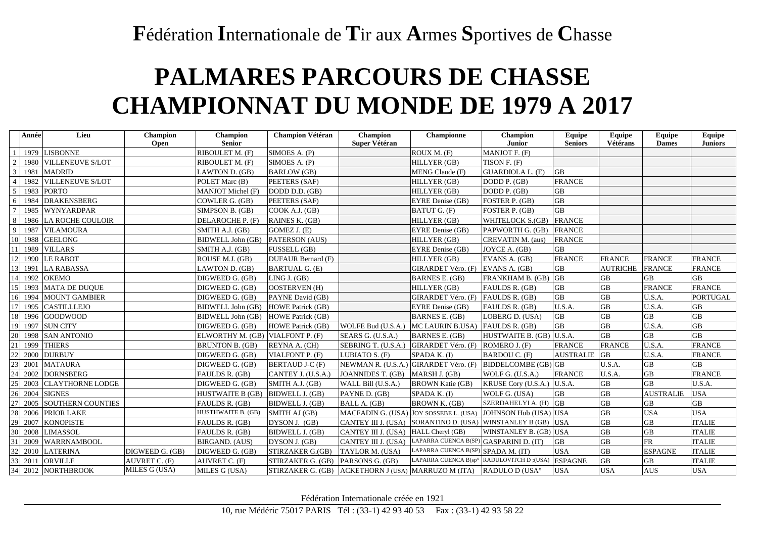## **F**édération **I**nternationale de **T**ir aux **A**rmes **S**portives de **C**hasse

## **PALMARES PARCOURS DE CHASSE CHAMPIONNAT DU MONDE DE 1979 A 2017**

|                 | Année | Lieu                     | <b>Champion</b><br><b>Open</b> | Champion<br><b>Senior</b> | <b>Champion Vétéran</b>                             | Champion<br>Super Vétéran              | <b>Championne</b>                      | <b>Champion</b><br><b>Junior</b>                             | <b>Equipe</b><br><b>Seniors</b> | Equipe<br>Vétérans | <b>Equipe</b><br><b>Dames</b> | Equipe<br><b>Juniors</b> |
|-----------------|-------|--------------------------|--------------------------------|---------------------------|-----------------------------------------------------|----------------------------------------|----------------------------------------|--------------------------------------------------------------|---------------------------------|--------------------|-------------------------------|--------------------------|
|                 |       | 1979 LISBONNE            |                                | RIBOULET M. (F)           | SIMOES A. (P)                                       |                                        | ROUX M. (F)                            | MANJOT F. (F)                                                |                                 |                    |                               |                          |
| 2               |       | 1980 VILLENEUVE S/LOT    |                                | RIBOULET M. (F)           | SIMOES A. (P)                                       |                                        | HILLYER (GB)                           | TISON F. (F)                                                 |                                 |                    |                               |                          |
| $\mathfrak{Z}$  |       | 1981 MADRID              |                                | LAWTON D. (GB)            | <b>BARLOW</b> (GB)                                  |                                        | MENG Claude (F)                        | GUARDIOLA L. (E)                                             | <b>GB</b>                       |                    |                               |                          |
| $\overline{4}$  |       | 1982 VILLENEUVE S/LOT    |                                | POLET Marc (B)            | PEETERS (SAF)                                       |                                        | HILLYER (GB)                           | DODD P. (GB)                                                 | <b>FRANCE</b>                   |                    |                               |                          |
| $\mathfrak{S}$  |       | 1983 PORTO               |                                | MANJOT Michel (F)         | DODD D.D. (GB)                                      |                                        | HILLYER (GB)                           | DODD P. (GB)                                                 | <b>GB</b>                       |                    |                               |                          |
| 6               | 1984  | <b>DRAKENSBERG</b>       |                                | COWLER G. (GB)            | PEETERS (SAF)                                       |                                        | EYRE Denise (GB)                       | FOSTER P. (GB)                                               | <b>GB</b>                       |                    |                               |                          |
| $7\phantom{.0}$ | 1985  | WYNYARDPAR               |                                | SIMPSON B. (GB)           | COOK A.J. (GB)                                      |                                        | BATUT G. (F)                           | FOSTER P. (GB)                                               | $\rm GB$                        |                    |                               |                          |
| 8               |       | 1986 LA ROCHE COULOIR    |                                | DELAROCHE P. (F)          | RAINES K. (GB)                                      |                                        | HILLYER (GB)                           | WHITELOCK S.(GB)                                             | <b>FRANCE</b>                   |                    |                               |                          |
| 9               | 1987  | <b>VILAMOURA</b>         |                                | SMITH A.J. (GB)           | GOMEZ J. (E)                                        |                                        | EYRE Denise (GB)                       | PAPWORTH G. (GB)                                             | <b>FRANCE</b>                   |                    |                               |                          |
| 10              |       | 1988 GEELONG             |                                | <b>BIDWELL John (GB)</b>  | PATERSON (AUS)                                      |                                        | HILLYER (GB)                           | CREVATIN M. (aus)                                            | <b>FRANCE</b>                   |                    |                               |                          |
| 11              | 1989  | <b>VILLARS</b>           |                                | SMITH A.J. (GB)           | FUSSELL (GB)                                        |                                        | EYRE Denise (GB)                       | JOYCE A. (GB)                                                | <b>GB</b>                       |                    |                               |                          |
| 12              | 1990  | <b>LE RABOT</b>          |                                | ROUSE M.J. (GB)           | DUFAUR Bernard (F)                                  |                                        | HILLYER (GB)                           | EVANS A. (GB)                                                | <b>FRANCE</b>                   | <b>FRANCE</b>      | <b>FRANCE</b>                 | <b>FRANCE</b>            |
| 13              | 1991  | <b>LA RABASSA</b>        |                                | LAWTON D. (GB)            | <b>BARTUAL G. (E)</b>                               |                                        | GIRARDET Véro. (F)                     | EVANS A. (GB)                                                | <b>GB</b>                       | <b>AUTRICHE</b>    | <b>FRANCE</b>                 | <b>FRANCE</b>            |
| 14              |       | 1992 OKEMO               |                                | DIGWEED G. (GB)           | LING J. (GB)                                        |                                        | <b>BARNES E. (GB)</b>                  | FRANKHAM B. (GB)                                             | <b>GB</b>                       | <b>GB</b>          | <b>GB</b>                     | <b>GB</b>                |
| 15              |       | 1993 MATA DE DUQUE       |                                | DIGWEED G. (GB)           | OOSTERVEN (H)                                       |                                        | HILLYER (GB)                           | FAULDS R. (GB)                                               | <b>GB</b>                       | <b>GB</b>          | <b>FRANCE</b>                 | <b>FRANCE</b>            |
| 16              | 1994  | <b>MOUNT GAMBIER</b>     |                                | DIGWEED G. (GB)           | PAYNE David (GB)                                    |                                        | <b>GIRARDET Véro.</b> (F)              | FAULDS R. (GB)                                               | GB                              | GB                 | U.S.A.                        | <b>PORTUGAL</b>          |
| 17              |       | 1995 CASTILLLEJO         |                                | <b>BIDWELL John (GB)</b>  | HOWE Patrick (GB)                                   |                                        | EYRE Denise (GB)                       | FAULDS R. (GB)                                               | U.S.A.                          | <b>GB</b>          | U.S.A.                        | <b>GB</b>                |
| 18              |       | 1996 GOODWOOD            |                                | <b>BIDWELL John (GB)</b>  | <b>HOWE Patrick (GB)</b>                            |                                        | <b>BARNES E. (GB)</b>                  | LOBERG D. (USA)                                              | GB                              | GВ                 | GB                            | <b>GB</b>                |
| 19              | 1997  | <b>SUN CITY</b>          |                                | DIGWEED G. (GB)           | <b>HOWE Patrick (GB)</b>                            | WOLFE Bud (U.S.A.)                     | MC LAURIN B.USA)                       | FAULDS R. (GB)                                               | <b>GB</b>                       | <b>GB</b>          | U.S.A.                        | <b>GB</b>                |
| 20              | 1998  | <b>SAN ANTONIO</b>       |                                | ELWORTHY M. (GB)          | VIALFONT P. (F)                                     | SEARS G. (U.S.A.)                      | <b>BARNES E. (GB)</b>                  | HUSTWAITE B. (GB) U.S.A.                                     |                                 | <b>GB</b>          | <b>GB</b>                     | <b>GB</b>                |
| 21              | 1999  | <b>THIERS</b>            |                                | <b>BRUNTON B. (GB)</b>    | REYNA A. (CH)                                       | SEBRING T. (U.S.A.)                    | GIRARDET Véro. (F)                     | ROMERO J. (F)                                                | <b>FRANCE</b>                   | <b>FRANCE</b>      | U.S.A.                        | <b>FRANCE</b>            |
| 22              | 2000  | <b>DURBUY</b>            |                                | DIGWEED G. (GB)           | VIALFONT P. (F)                                     | LUBIATO S. (F)                         | SPADA K. (I)                           | BARDOU C. (F)                                                | <b>AUSTRALIE</b>                | <b>GB</b>          | U.S.A.                        | <b>FRANCE</b>            |
| 23              | 2001  | <b>MATAURA</b>           |                                | DIGWEED G. (GB)           | <b>BERTAUD J-C (F)</b>                              | NEWMAN R. (U.S.A.) GIRARDET Véro. (F)  |                                        | BIDDELCOMBE (GB) GB                                          |                                 | U.S.A.             | <b>GB</b>                     | <b>GB</b>                |
| 24              | 2002  | <b>DORNSBERG</b>         |                                | FAULDS R. (GB)            | CANTEY J. (U.S.A.)                                  | JOANNIDES T. (GB)                      | MARSH J. (GB)                          | WOLF G. (U.S.A.)                                             | <b>FRANCE</b>                   | U.S.A.             | <b>GB</b>                     | <b>FRANCE</b>            |
| 25              | 2003  | <b>CLAYTHORNE LODGE</b>  |                                | DIGWEED G. (GB)           | SMITH A.J. (GB)                                     | WALL Bill (U.S.A.)                     | <b>BROWN Katie (GB)</b>                | KRUSE Cory (U.S.A.)                                          | U.S.A.                          | <b>GB</b>          | <b>GB</b>                     | U.S.A.                   |
| 26              | 2004  | <b>SIGNES</b>            |                                | <b>HUSTWAITE B (GB)</b>   | <b>BIDWELL J. (GB)</b>                              | PAYNE D. (GB)                          | SPADA K. (I)                           | WOLF G. (USA)                                                | <b>GB</b>                       | <b>GB</b>          | <b>AUSTRALIE</b>              | <b>USA</b>               |
| 27              | 2005  | <b>SOUTHERN COUNTIES</b> |                                | FAULDS R. (GB)            | BIDWELL J. (GB)                                     | BALL A. (GB)                           | BROWN K. (GB)                          | SZERDAHELYI A. (H)                                           | <b>GB</b>                       | <b>GB</b>          | <b>GB</b>                     | GB                       |
| 28              |       | 2006 PRIOR LAKE          |                                | <b>HUSTHWAITE B. (GB)</b> | SMITH AJ (GB)                                       | MACFADIN G. (USA) JOY SOSSEBE L. (USA) |                                        | JOHNSON Hub (USA) USA                                        |                                 | <b>GB</b>          | <b>USA</b>                    | <b>USA</b>               |
| 29              |       | 2007 KONOPISTE           |                                | FAULDS R. (GB)            | DYSON J. (GB)                                       |                                        |                                        | CANTEY III J. (USA) SORANTINO D. (USA) WINSTANLEY B (GB) USA |                                 | <b>GB</b>          | GB                            | <b>ITALIE</b>            |
| 30              |       | 2008 LIMASSOL            |                                | FAULDS R. (GB)            | BIDWELL J. (GB)                                     | CANTEY III J. (USA) HALL Cheryl (GB)   |                                        | WINSTANLEY B. (GB) USA                                       |                                 | <b>GB</b>          | $\overline{GB}$               | <b>ITALIE</b>            |
| 31              | 2009  | <b>WARRNAMBOOL</b>       |                                | BIRGAND. (AUS)            | DYSON J. (GB)                                       | CANTEY III J. (USA)                    | LAPARRA CUENCA B(SP) GASPARINI D. (IT) |                                                              | GB                              | <b>GB</b>          | <b>FR</b>                     | <b>ITALIE</b>            |
| 32              | 2010  | <b>LATERINA</b>          | DIGWEED G. (GB)                | DIGWEED G. (GB)           | STIRZAKER G.(GB)                                    | TAYLOR M. (USA)                        | LAPARRA CUENCA B(SP) SPADA M. (IT)     |                                                              | <b>USA</b>                      | <b>GB</b>          | <b>ESPAGNE</b>                | <b>ITALIE</b>            |
| 33              | 2011  | <b>ORVILLE</b>           | AUVRET C. (F)                  | AUVRET C. (F)             | STIRZAKER G. (GB)                                   | PARSONS G. (GB)                        |                                        | LAPARRA CUENCA B(sp° RADULOVITCH D;(USA) ESPAGNE             |                                 | <b>GB</b>          | <b>GB</b>                     | <b>ITALIE</b>            |
| 34              |       | 2012 NORTHBROOK          | MILES G (USA)                  | MILES G (USA)             | STIRZAKER G. (GB) ACKETHORN J (USA) MARRUZO M (ITA) |                                        |                                        | RADULO D (USA°                                               | <b>USA</b>                      | <b>USA</b>         | <b>AUS</b>                    | <b>USA</b>               |

Fédération Internationale créée en 1921